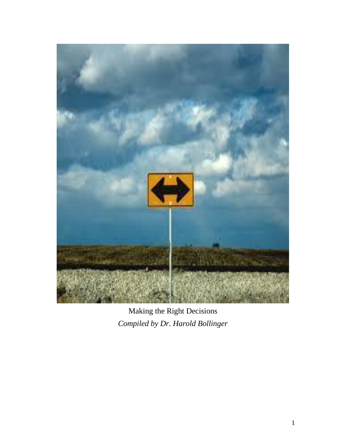

Making the Right Decisions *Compiled by Dr. Harold Bollinger*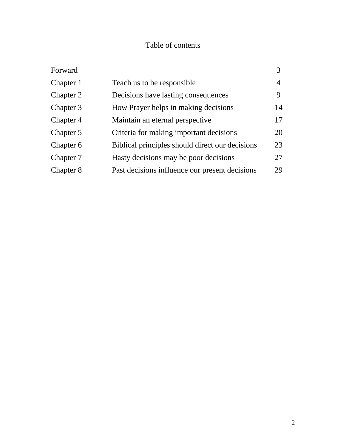# Table of contents

| Teach us to be responsible.                     | 4  |
|-------------------------------------------------|----|
| Decisions have lasting consequences             | 9  |
| How Prayer helps in making decisions            | 14 |
| Maintain an eternal perspective                 | 17 |
| Criteria for making important decisions         | 20 |
| Biblical principles should direct our decisions | 23 |
| Hasty decisions may be poor decisions           | 27 |
| Past decisions influence our present decisions  | 29 |
|                                                 |    |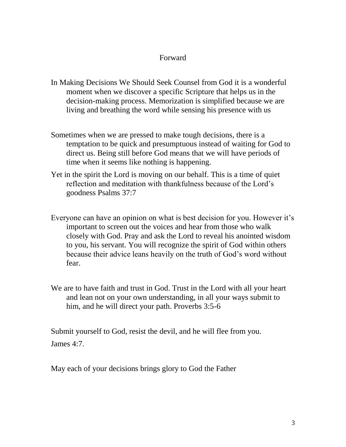#### Forward

In Making Decisions We Should Seek Counsel from God it is a wonderful moment when we discover a specific Scripture that helps us in the decision-making process. Memorization is simplified because we are living and breathing the word while sensing his presence with us

- Sometimes when we are pressed to make tough decisions, there is a temptation to be quick and presumptuous instead of waiting for God to direct us. Being still before God means that we will have periods of time when it seems like nothing is happening.
- Yet in the spirit the Lord is moving on our behalf. This is a time of quiet reflection and meditation with thankfulness because of the Lord's goodness Psalms 37:7
- Everyone can have an opinion on what is best decision for you. However it's important to screen out the voices and hear from those who walk closely with God. Pray and ask the Lord to reveal his anointed wisdom to you, his servant. You will recognize the spirit of God within others because their advice leans heavily on the truth of God's word without fear.
- We are to have faith and trust in God. Trust in the Lord with all your heart and lean not on your own understanding, in all your ways submit to him, and he will direct your path. Proverbs 3:5-6

Submit yourself to God, resist the devil, and he will flee from you. James 4:7.

May each of your decisions brings glory to God the Father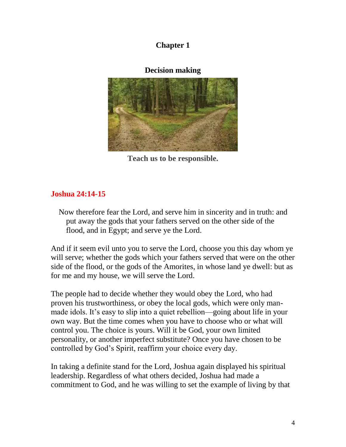#### **Decision making**



**Teach us to be responsible.**

### **Joshua 24:14-15**

 Now therefore fear the Lord, and serve him in sincerity and in truth: and put away the gods that your fathers served on the other side of the flood, and in Egypt; and serve ye the Lord.

And if it seem evil unto you to serve the Lord, choose you this day whom ye will serve; whether the gods which your fathers served that were on the other side of the flood, or the gods of the Amorites, in whose land ye dwell: but as for me and my house, we will serve the Lord.

The people had to decide whether they would obey the Lord, who had proven his trustworthiness, or obey the local gods, which were only manmade idols. It's easy to slip into a quiet rebellion—going about life in your own way. But the time comes when you have to choose who or what will control you. The choice is yours. Will it be God, your own limited personality, or another imperfect substitute? Once you have chosen to be controlled by God's Spirit, reaffirm your choice every day.

In taking a definite stand for the Lord, Joshua again displayed his spiritual leadership. Regardless of what others decided, Joshua had made a commitment to God, and he was willing to set the example of living by that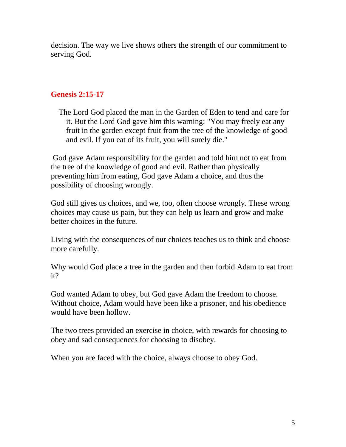decision. The way we live shows others the strength of our commitment to serving God.

### **Genesis 2:15-17**

 The Lord God placed the man in the Garden of Eden to tend and care for it. But the Lord God gave him this warning: "You may freely eat any fruit in the garden except fruit from the tree of the knowledge of good and evil. If you eat of its fruit, you will surely die."

God gave Adam responsibility for the garden and told him not to eat from the tree of the knowledge of good and evil. Rather than physically preventing him from eating, God gave Adam a choice, and thus the possibility of choosing wrongly.

God still gives us choices, and we, too, often choose wrongly. These wrong choices may cause us pain, but they can help us learn and grow and make better choices in the future.

Living with the consequences of our choices teaches us to think and choose more carefully.

Why would God place a tree in the garden and then forbid Adam to eat from it?

God wanted Adam to obey, but God gave Adam the freedom to choose. Without choice, Adam would have been like a prisoner, and his obedience would have been hollow.

The two trees provided an exercise in choice, with rewards for choosing to obey and sad consequences for choosing to disobey.

When you are faced with the choice, always choose to obey God.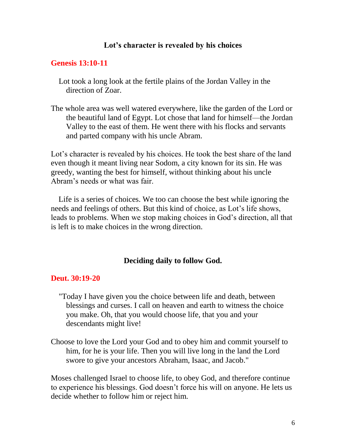#### **Lot's character is revealed by his choices**

#### **Genesis 13:10-11**

 Lot took a long look at the fertile plains of the Jordan Valley in the direction of Zoar.

The whole area was well watered everywhere, like the garden of the Lord or the beautiful land of Egypt. Lot chose that land for himself—the Jordan Valley to the east of them. He went there with his flocks and servants and parted company with his uncle Abram.

Lot's character is revealed by his choices. He took the best share of the land even though it meant living near Sodom, a city known for its sin. He was greedy, wanting the best for himself, without thinking about his uncle Abram's needs or what was fair.

Life is a series of choices. We too can choose the best while ignoring the needs and feelings of others. But this kind of choice, as Lot's life shows, leads to problems. When we stop making choices in God's direction, all that is left is to make choices in the wrong direction.

#### **Deciding daily to follow God.**

#### **Deut. 30:19-20**

- "Today I have given you the choice between life and death, between blessings and curses. I call on heaven and earth to witness the choice you make. Oh, that you would choose life, that you and your descendants might live!
- Choose to love the Lord your God and to obey him and commit yourself to him, for he is your life. Then you will live long in the land the Lord swore to give your ancestors Abraham, Isaac, and Jacob."

Moses challenged Israel to choose life, to obey God, and therefore continue to experience his blessings. God doesn't force his will on anyone. He lets us decide whether to follow him or reject him.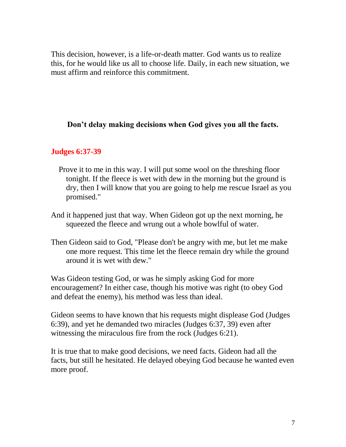This decision, however, is a life-or-death matter. God wants us to realize this, for he would like us all to choose life. Daily, in each new situation, we must affirm and reinforce this commitment.

#### **Don't delay making decisions when God gives you all the facts.**

### **Judges 6:37-39**

- Prove it to me in this way. I will put some wool on the threshing floor tonight. If the fleece is wet with dew in the morning but the ground is dry, then I will know that you are going to help me rescue Israel as you promised."
- And it happened just that way. When Gideon got up the next morning, he squeezed the fleece and wrung out a whole bowlful of water.
- Then Gideon said to God, "Please don't be angry with me, but let me make one more request. This time let the fleece remain dry while the ground around it is wet with dew."

Was Gideon testing God, or was he simply asking God for more encouragement? In either case, though his motive was right (to obey God and defeat the enemy), his method was less than ideal.

Gideon seems to have known that his requests might displease God (Judges 6:39), and yet he demanded two miracles (Judges 6:37, 39) even after witnessing the miraculous fire from the rock (Judges 6:21).

It is true that to make good decisions, we need facts. Gideon had all the facts, but still he hesitated. He delayed obeying God because he wanted even more proof.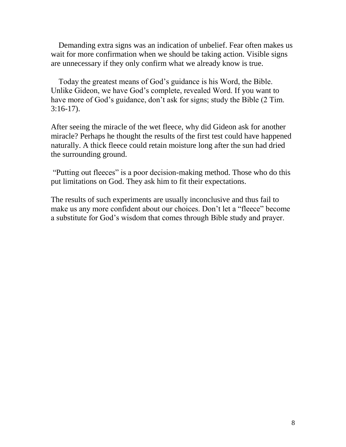Demanding extra signs was an indication of unbelief. Fear often makes us wait for more confirmation when we should be taking action. Visible signs are unnecessary if they only confirm what we already know is true.

Today the greatest means of God's guidance is his Word, the Bible. Unlike Gideon, we have God's complete, revealed Word. If you want to have more of God's guidance, don't ask for signs; study the Bible (2 Tim. 3:16-17).

After seeing the miracle of the wet fleece, why did Gideon ask for another miracle? Perhaps he thought the results of the first test could have happened naturally. A thick fleece could retain moisture long after the sun had dried the surrounding ground.

"Putting out fleeces" is a poor decision-making method. Those who do this put limitations on God. They ask him to fit their expectations.

The results of such experiments are usually inconclusive and thus fail to make us any more confident about our choices. Don't let a "fleece" become a substitute for God's wisdom that comes through Bible study and prayer.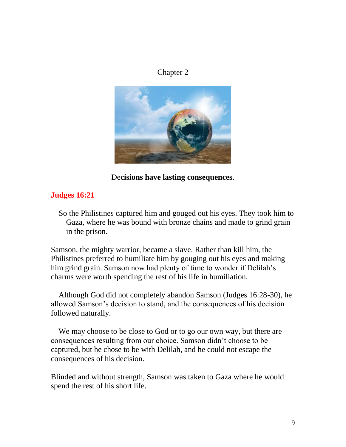

De**cisions have lasting consequences**.

### **Judges 16:21**

 So the Philistines captured him and gouged out his eyes. They took him to Gaza, where he was bound with bronze chains and made to grind grain in the prison.

Samson, the mighty warrior, became a slave. Rather than kill him, the Philistines preferred to humiliate him by gouging out his eyes and making him grind grain. Samson now had plenty of time to wonder if Delilah's charms were worth spending the rest of his life in humiliation.

Although God did not completely abandon Samson (Judges 16:28-30), he allowed Samson's decision to stand, and the consequences of his decision followed naturally.

We may choose to be close to God or to go our own way, but there are consequences resulting from our choice. Samson didn't choose to be captured, but he chose to be with Delilah, and he could not escape the consequences of his decision.

Blinded and without strength, Samson was taken to Gaza where he would spend the rest of his short life.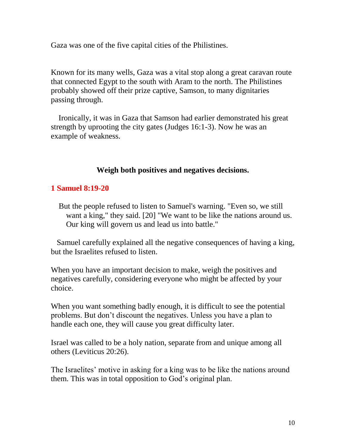Gaza was one of the five capital cities of the Philistines.

Known for its many wells, Gaza was a vital stop along a great caravan route that connected Egypt to the south with Aram to the north. The Philistines probably showed off their prize captive, Samson, to many dignitaries passing through.

Ironically, it was in Gaza that Samson had earlier demonstrated his great strength by uprooting the city gates (Judges 16:1-3). Now he was an example of weakness.

#### **Weigh both positives and negatives decisions.**

#### **1 Samuel 8:19-20**

 But the people refused to listen to Samuel's warning. "Even so, we still want a king," they said. [20] "We want to be like the nations around us. Our king will govern us and lead us into battle."

 Samuel carefully explained all the negative consequences of having a king, but the Israelites refused to listen.

When you have an important decision to make, weigh the positives and negatives carefully, considering everyone who might be affected by your choice.

When you want something badly enough, it is difficult to see the potential problems. But don't discount the negatives. Unless you have a plan to handle each one, they will cause you great difficulty later.

Israel was called to be a holy nation, separate from and unique among all others (Leviticus 20:26).

The Israelites' motive in asking for a king was to be like the nations around them. This was in total opposition to God's original plan.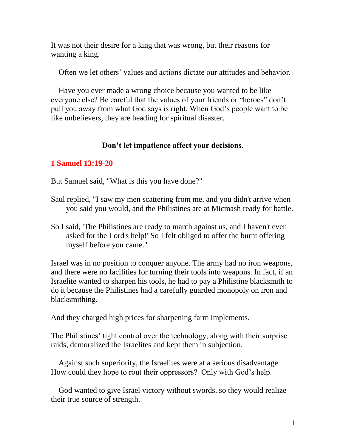It was not their desire for a king that was wrong, but their reasons for wanting a king.

Often we let others' values and actions dictate our attitudes and behavior.

Have you ever made a wrong choice because you wanted to be like everyone else? Be careful that the values of your friends or "heroes" don't pull you away from what God says is right. When God's people want to be like unbelievers, they are heading for spiritual disaster.

### **Don't let impatience affect your decisions.**

### **1 Samuel 13:19-20**

But Samuel said, "What is this you have done?"

- Saul replied, "I saw my men scattering from me, and you didn't arrive when you said you would, and the Philistines are at Micmash ready for battle.
- So I said, 'The Philistines are ready to march against us, and I haven't even asked for the Lord's help!' So I felt obliged to offer the burnt offering myself before you came."

Israel was in no position to conquer anyone. The army had no iron weapons, and there were no facilities for turning their tools into weapons. In fact, if an Israelite wanted to sharpen his tools, he had to pay a Philistine blacksmith to do it because the Philistines had a carefully guarded monopoly on iron and blacksmithing.

And they charged high prices for sharpening farm implements.

The Philistines' tight control over the technology, along with their surprise raids, demoralized the Israelites and kept them in subjection.

Against such superiority, the Israelites were at a serious disadvantage. How could they hope to rout their oppressors? Only with God's help.

God wanted to give Israel victory without swords, so they would realize their true source of strength.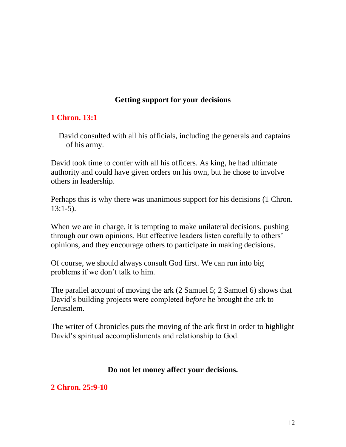### **Getting support for your decisions**

### **1 Chron. 13:1**

 David consulted with all his officials, including the generals and captains of his army.

David took time to confer with all his officers. As king, he had ultimate authority and could have given orders on his own, but he chose to involve others in leadership.

Perhaps this is why there was unanimous support for his decisions (1 Chron.  $13:1-5$ ).

When we are in charge, it is tempting to make unilateral decisions, pushing through our own opinions. But effective leaders listen carefully to others' opinions, and they encourage others to participate in making decisions.

Of course, we should always consult God first. We can run into big problems if we don't talk to him.

The parallel account of moving the ark (2 Samuel 5; 2 Samuel 6) shows that David's building projects were completed *before* he brought the ark to Jerusalem.

The writer of Chronicles puts the moving of the ark first in order to highlight David's spiritual accomplishments and relationship to God.

### **Do not let money affect your decisions.**

## **2 Chron. 25:9-10**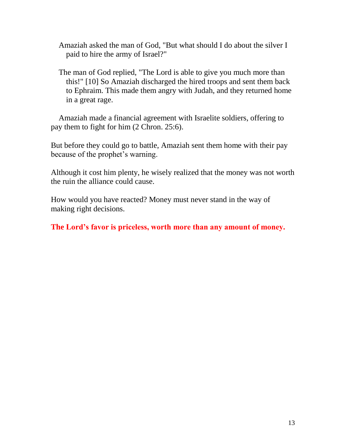Amaziah asked the man of God, "But what should I do about the silver I paid to hire the army of Israel?"

 The man of God replied, "The Lord is able to give you much more than this!" [10] So Amaziah discharged the hired troops and sent them back to Ephraim. This made them angry with Judah, and they returned home in a great rage.

 Amaziah made a financial agreement with Israelite soldiers, offering to pay them to fight for him (2 Chron. 25:6).

But before they could go to battle, Amaziah sent them home with their pay because of the prophet's warning.

Although it cost him plenty, he wisely realized that the money was not worth the ruin the alliance could cause.

How would you have reacted? Money must never stand in the way of making right decisions.

### **The Lord's favor is priceless, worth more than any amount of money.**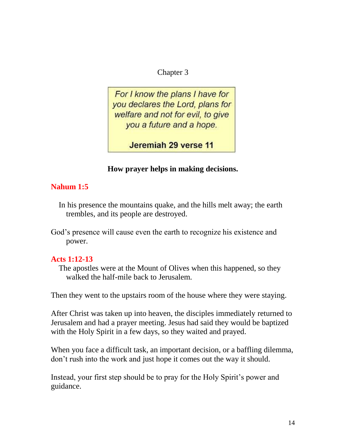For I know the plans I have for you declares the Lord, plans for welfare and not for evil, to give you a future and a hope.

Jeremiah 29 verse 11

### **How prayer helps in making decisions.**

### **Nahum 1:5**

- In his presence the mountains quake, and the hills melt away; the earth trembles, and its people are destroyed.
- God's presence will cause even the earth to recognize his existence and power.

### **Acts 1:12-13**

 The apostles were at the Mount of Olives when this happened, so they walked the half-mile back to Jerusalem.

Then they went to the upstairs room of the house where they were staying.

After Christ was taken up into heaven, the disciples immediately returned to Jerusalem and had a prayer meeting. Jesus had said they would be baptized with the Holy Spirit in a few days, so they waited and prayed.

When you face a difficult task, an important decision, or a baffling dilemma, don't rush into the work and just hope it comes out the way it should.

Instead, your first step should be to pray for the Holy Spirit's power and guidance.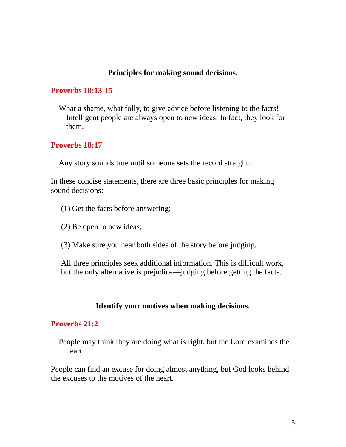#### **Principles for making sound decisions.**

#### **Proverbs 18:13-15**

 What a shame, what folly, to give advice before listening to the facts! Intelligent people are always open to new ideas. In fact, they look for them.

#### **Proverbs 18:17**

Any story sounds true until someone sets the record straight.

In these concise statements, there are three basic principles for making sound decisions:

- (1) Get the facts before answering;
- (2) Be open to new ideas;
- (3) Make sure you hear both sides of the story before judging.

All three principles seek additional information. This is difficult work, but the only alternative is prejudice—judging before getting the facts.

#### **Identify your motives when making decisions.**

#### **Proverbs 21:2**

 People may think they are doing what is right, but the Lord examines the heart.

People can find an excuse for doing almost anything, but God looks behind the excuses to the motives of the heart.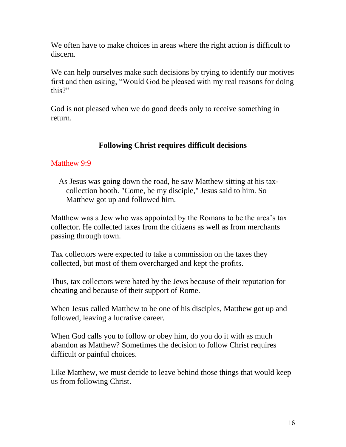We often have to make choices in areas where the right action is difficult to discern.

We can help ourselves make such decisions by trying to identify our motives first and then asking, "Would God be pleased with my real reasons for doing this?"

God is not pleased when we do good deeds only to receive something in return.

### **Following Christ requires difficult decisions**

#### Matthew 9:9

As Jesus was going down the road, he saw Matthew sitting at his taxcollection booth. "Come, be my disciple," Jesus said to him. So Matthew got up and followed him.

Matthew was a Jew who was appointed by the Romans to be the area's tax collector. He collected taxes from the citizens as well as from merchants passing through town.

Tax collectors were expected to take a commission on the taxes they collected, but most of them overcharged and kept the profits.

Thus, tax collectors were hated by the Jews because of their reputation for cheating and because of their support of Rome.

When Jesus called Matthew to be one of his disciples, Matthew got up and followed, leaving a lucrative career.

When God calls you to follow or obey him, do you do it with as much abandon as Matthew? Sometimes the decision to follow Christ requires difficult or painful choices.

Like Matthew, we must decide to leave behind those things that would keep us from following Christ.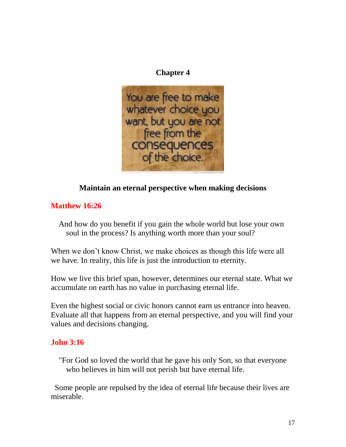

#### **Maintain an eternal perspective when making decisions**

### **Matthew 16:26**

 And how do you benefit if you gain the whole world but lose your own soul in the process? Is anything worth more than your soul?

When we don't know Christ, we make choices as though this life were all we have. In reality, this life is just the introduction to eternity.

How we live this brief span, however, determines our eternal state. What we accumulate on earth has no value in purchasing eternal life.

Even the highest social or civic honors cannot earn us entrance into heaven. Evaluate all that happens from an eternal perspective, and you will find your values and decisions changing.

### **John 3:16**

 "For God so loved the world that he gave his only Son, so that everyone who believes in him will not perish but have eternal life.

 Some people are repulsed by the idea of eternal life because their lives are miserable.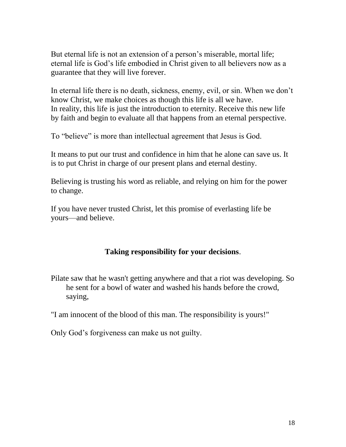But eternal life is not an extension of a person's miserable, mortal life; eternal life is God's life embodied in Christ given to all believers now as a guarantee that they will live forever.

In eternal life there is no death, sickness, enemy, evil, or sin. When we don't know Christ, we make choices as though this life is all we have. In reality, this life is just the introduction to eternity. Receive this new life by faith and begin to evaluate all that happens from an eternal perspective.

To "believe" is more than intellectual agreement that Jesus is God.

It means to put our trust and confidence in him that he alone can save us. It is to put Christ in charge of our present plans and eternal destiny.

Believing is trusting his word as reliable, and relying on him for the power to change.

If you have never trusted Christ, let this promise of everlasting life be yours—and believe.

### **Taking responsibility for your decisions**.

Pilate saw that he wasn't getting anywhere and that a riot was developing. So he sent for a bowl of water and washed his hands before the crowd, saying,

"I am innocent of the blood of this man. The responsibility is yours!"

Only God's forgiveness can make us not guilty.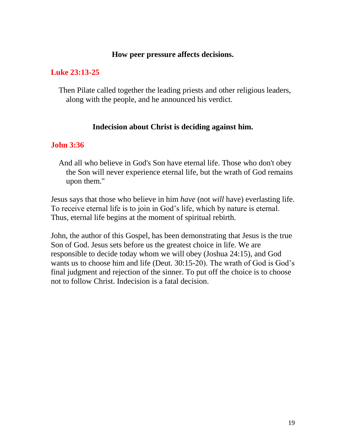#### **How peer pressure affects decisions.**

#### **Luke 23:13-25**

 Then Pilate called together the leading priests and other religious leaders, along with the people, and he announced his verdict.

#### **Indecision about Christ is deciding against him.**

#### **John 3:36**

 And all who believe in God's Son have eternal life. Those who don't obey the Son will never experience eternal life, but the wrath of God remains upon them."

Jesus says that those who believe in him *have* (not *will* have) everlasting life. To receive eternal life is to join in God's life, which by nature is eternal. Thus, eternal life begins at the moment of spiritual rebirth.

John, the author of this Gospel, has been demonstrating that Jesus is the true Son of God. Jesus sets before us the greatest choice in life. We are responsible to decide today whom we will obey (Joshua 24:15), and God wants us to choose him and life (Deut. 30:15-20). The wrath of God is God's final judgment and rejection of the sinner. To put off the choice is to choose not to follow Christ. Indecision is a fatal decision.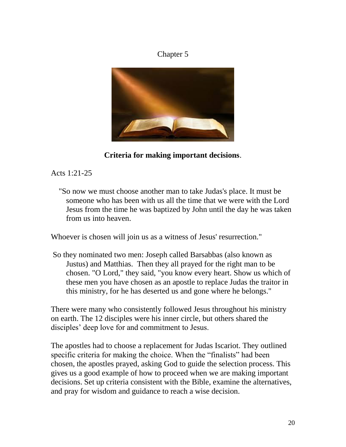

**Criteria for making important decisions**.

Acts 1:21-25

 "So now we must choose another man to take Judas's place. It must be someone who has been with us all the time that we were with the Lord Jesus from the time he was baptized by John until the day he was taken from us into heaven.

Whoever is chosen will join us as a witness of Jesus' resurrection."

So they nominated two men: Joseph called Barsabbas (also known as Justus) and Matthias. Then they all prayed for the right man to be chosen. "O Lord," they said, "you know every heart. Show us which of these men you have chosen as an apostle to replace Judas the traitor in this ministry, for he has deserted us and gone where he belongs."

There were many who consistently followed Jesus throughout his ministry on earth. The 12 disciples were his inner circle, but others shared the disciples' deep love for and commitment to Jesus.

The apostles had to choose a replacement for Judas Iscariot. They outlined specific criteria for making the choice. When the "finalists" had been chosen, the apostles prayed, asking God to guide the selection process. This gives us a good example of how to proceed when we are making important decisions. Set up criteria consistent with the Bible, examine the alternatives, and pray for wisdom and guidance to reach a wise decision.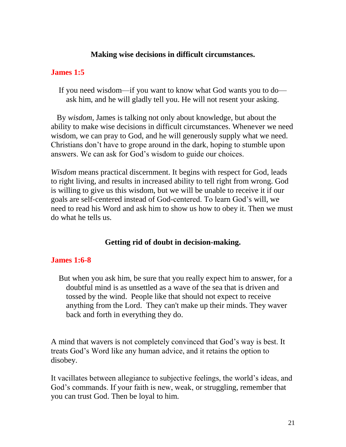#### **Making wise decisions in difficult circumstances.**

#### **James 1:5**

 If you need wisdom—if you want to know what God wants you to do ask him, and he will gladly tell you. He will not resent your asking.

 By *wisdom,* James is talking not only about knowledge, but about the ability to make wise decisions in difficult circumstances. Whenever we need wisdom, we can pray to God, and he will generously supply what we need. Christians don't have to grope around in the dark, hoping to stumble upon answers. We can ask for God's wisdom to guide our choices.

*Wisdom* means practical discernment. It begins with respect for God, leads to right living, and results in increased ability to tell right from wrong. God is willing to give us this wisdom, but we will be unable to receive it if our goals are self-centered instead of God-centered. To learn God's will, we need to read his Word and ask him to show us how to obey it. Then we must do what he tells us.

#### **Getting rid of doubt in decision-making.**

#### **James 1:6-8**

 But when you ask him, be sure that you really expect him to answer, for a doubtful mind is as unsettled as a wave of the sea that is driven and tossed by the wind. People like that should not expect to receive anything from the Lord. They can't make up their minds. They waver back and forth in everything they do.

A mind that wavers is not completely convinced that God's way is best. It treats God's Word like any human advice, and it retains the option to disobey.

It vacillates between allegiance to subjective feelings, the world's ideas, and God's commands. If your faith is new, weak, or struggling, remember that you can trust God. Then be loyal to him.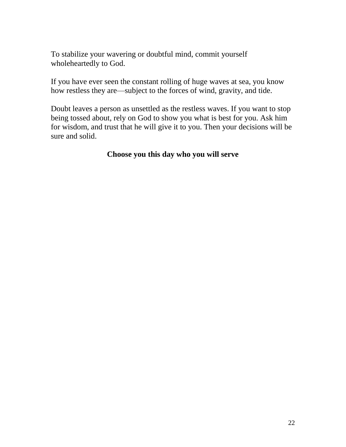To stabilize your wavering or doubtful mind, commit yourself wholeheartedly to God.

If you have ever seen the constant rolling of huge waves at sea, you know how restless they are—subject to the forces of wind, gravity, and tide.

Doubt leaves a person as unsettled as the restless waves. If you want to stop being tossed about, rely on God to show you what is best for you. Ask him for wisdom, and trust that he will give it to you. Then your decisions will be sure and solid.

#### **Choose you this day who you will serve**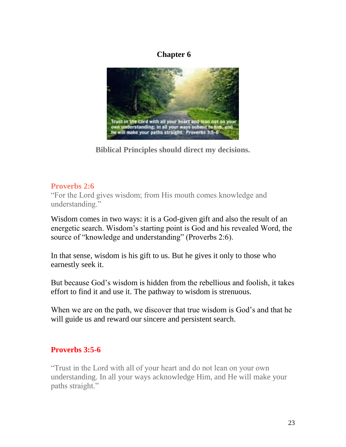

**Biblical Principles should direct my decisions.**

#### **[Proverbs](http://bib.ly/Pr2.6.NASB) 2:6**

"For the Lord gives wisdom; from His mouth comes knowledge and understanding."

Wisdom comes in two ways: it is a God-given gift and also the result of an energetic search. Wisdom's starting point is God and his revealed Word, the source of "knowledge and understanding" (Proverbs 2:6).

In that sense, wisdom is his gift to us. But he gives it only to those who earnestly seek it.

But because God's wisdom is hidden from the rebellious and foolish, it takes effort to find it and use it. The pathway to wisdom is strenuous.

When we are on the path, we discover that true wisdom is God's and that he will guide us and reward our sincere and persistent search.

### **[Proverbs](http://bib.ly/Pr3.5-6.NASB) 3:5-6**

"Trust in the Lord with all of your heart and do not lean on your own understanding. In all your ways acknowledge Him, and He will make your paths straight."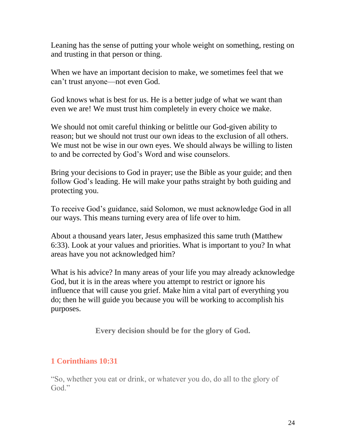Leaning has the sense of putting your whole weight on something, resting on and trusting in that person or thing.

When we have an important decision to make, we sometimes feel that we can't trust anyone—not even God.

God knows what is best for us. He is a better judge of what we want than even we are! We must trust him completely in every choice we make.

We should not omit careful thinking or belittle our God-given ability to reason; but we should not trust our own ideas to the exclusion of all others. We must not be wise in our own eyes. We should always be willing to listen to and be corrected by God's Word and wise counselors.

Bring your decisions to God in prayer; use the Bible as your guide; and then follow God's leading. He will make your paths straight by both guiding and protecting you.

To receive God's guidance, said Solomon, we must acknowledge God in all our ways. This means turning every area of life over to him.

About a thousand years later, Jesus emphasized this same truth (Matthew 6:33). Look at your values and priorities. What is important to you? In what areas have you not acknowledged him?

What is his advice? In many areas of your life you may already acknowledge God, but it is in the areas where you attempt to restrict or ignore his influence that will cause you grief. Make him a vital part of everything you do; then he will guide you because you will be working to accomplish his purposes.

**Every decision should be for the glory of God.**

## **1 [Corinthians](http://bib.ly/1Co10.31.NASB) 10:31**

"So, whether you eat or drink, or whatever you do, do all to the glory of God."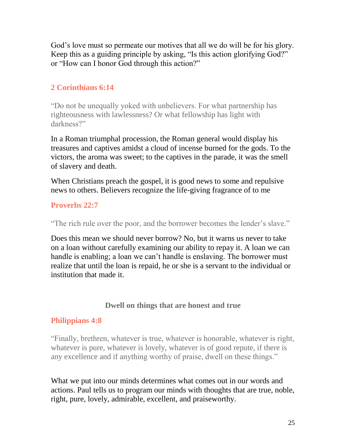God's love must so permeate our motives that all we do will be for his glory. Keep this as a guiding principle by asking, "Is this action glorifying God?" or "How can I honor God through this action?"

## **2 [Corinthians](http://bib.ly/2Co6.14.NASB) 6:14**

"Do not be unequally yoked with unbelievers. For what partnership has righteousness with lawlessness? Or what fellowship has light with darkness?"

In a Roman triumphal procession, the Roman general would display his treasures and captives amidst a cloud of incense burned for the gods. To the victors, the aroma was sweet; to the captives in the parade, it was the smell of slavery and death.

When Christians preach the gospel, it is good news to some and repulsive news to others. Believers recognize the life-giving fragrance of to me

## **[Proverbs](http://bib.ly/Pr22.7.NASB) 22:7**

"The rich rule over the poor, and the borrower becomes the lender's slave."

Does this mean we should never borrow? No, but it warns us never to take on a loan without carefully examining our ability to repay it. A loan we can handle is enabling; a loan we can't handle is enslaving. The borrower must realize that until the loan is repaid, he or she is a servant to the individual or institution that made it.

### **Dwell on things that are honest and true**

### **[Philippians](http://bib.ly/Phi4.8.NASB) 4:8**

"Finally, brethren, whatever is true, whatever is honorable, whatever is right, whatever is pure, whatever is lovely, whatever is of good repute, if there is any excellence and if anything worthy of praise, dwell on these things."

What we put into our minds determines what comes out in our words and actions. Paul tells us to program our minds with thoughts that are true, noble, right, pure, lovely, admirable, excellent, and praiseworthy.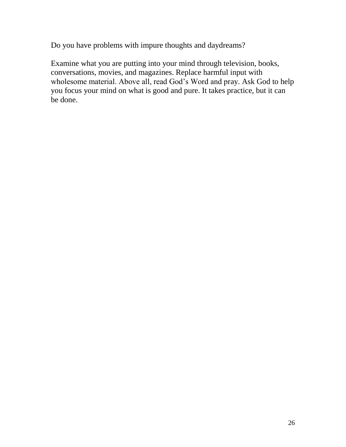Do you have problems with impure thoughts and daydreams?

Examine what you are putting into your mind through television, books, conversations, movies, and magazines. Replace harmful input with wholesome material. Above all, read God's Word and pray. Ask God to help you focus your mind on what is good and pure. It takes practice, but it can be done.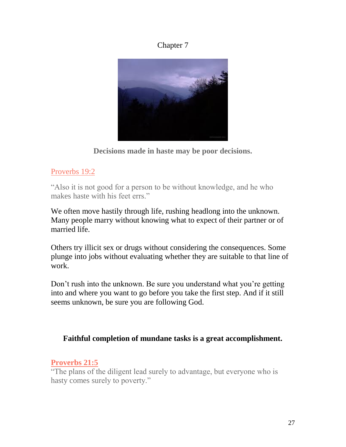

**Decisions made in haste may be poor decisions.**

### [Proverbs](http://bib.ly/Pr19.2.NASB) 19:2

"Also it is not good for a person to be without knowledge, and he who makes haste with his feet errs."

We often move hastily through life, rushing headlong into the unknown. Many people marry without knowing what to expect of their partner or of married life.

Others try illicit sex or drugs without considering the consequences. Some plunge into jobs without evaluating whether they are suitable to that line of work.

Don't rush into the unknown. Be sure you understand what you're getting into and where you want to go before you take the first step. And if it still seems unknown, be sure you are following God.

### **Faithful completion of mundane tasks is a great accomplishment.**

### **[Proverbs](http://bib.ly/Pr21.5.NASB) 21:5**

"The plans of the diligent lead surely to advantage, but everyone who is hasty comes surely to poverty."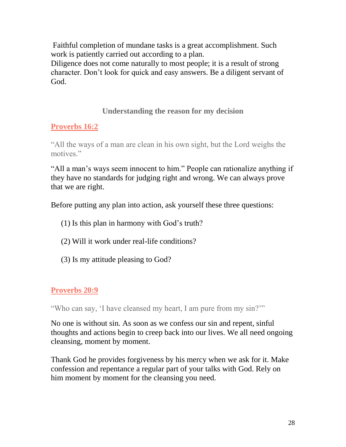Faithful completion of mundane tasks is a great accomplishment. Such work is patiently carried out according to a plan.

Diligence does not come naturally to most people; it is a result of strong character. Don't look for quick and easy answers. Be a diligent servant of God.

## **Understanding the reason for my decision**

## **[Proverbs](http://bib.ly/Pr16.2.NASB) 16:2**

"All the ways of a man are clean in his own sight, but the Lord weighs the motives."

"All a man's ways seem innocent to him." People can rationalize anything if they have no standards for judging right and wrong. We can always prove that we are right.

Before putting any plan into action, ask yourself these three questions:

- (1) Is this plan in harmony with God's truth?
- (2) Will it work under real-life conditions?
- (3) Is my attitude pleasing to God?

## **[Proverbs](http://bib.ly/Pr20.9.NASB) 20:9**

"Who can say, 'I have cleansed my heart, I am pure from my sin?'"

No one is without sin. As soon as we confess our sin and repent, sinful thoughts and actions begin to creep back into our lives. We all need ongoing cleansing, moment by moment.

Thank God he provides forgiveness by his mercy when we ask for it. Make confession and repentance a regular part of your talks with God. Rely on him moment by moment for the cleansing you need.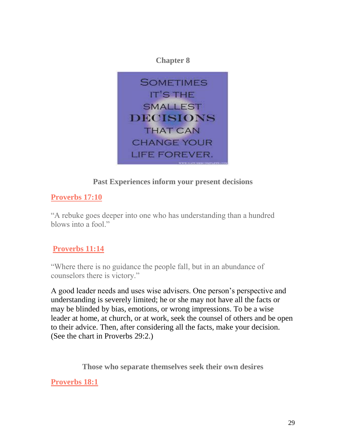

## **Past Experiences inform your present decisions**

## **[Proverbs](http://bib.ly/Pr17.10.NASB) 17:10**

"A rebuke goes deeper into one who has understanding than a hundred blows into a fool."

## **[Proverbs](http://bib.ly/Pr11.14.NASB) 11:14**

"Where there is no guidance the people fall, but in an abundance of counselors there is victory."

A good leader needs and uses wise advisers. One person's perspective and understanding is severely limited; he or she may not have all the facts or may be blinded by bias, emotions, or wrong impressions. To be a wise leader at home, at church, or at work, seek the counsel of others and be open to their advice. Then, after considering all the facts, make your decision. (See the chart in Proverbs 29:2.)

**Those who separate themselves seek their own desires**

**[Proverbs](http://bib.ly/Pr18.1.NASB) 18:1**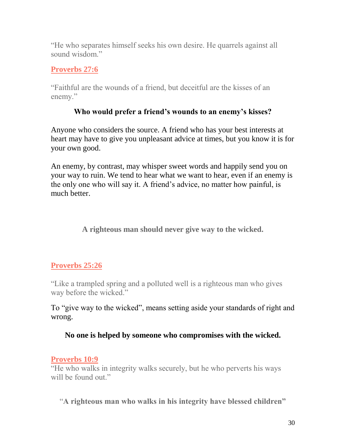"He who separates himself seeks his own desire. He quarrels against all sound wisdom"

## **[Proverbs](http://bib.ly/Pr27.6.NASB) 27:6**

"Faithful are the wounds of a friend, but deceitful are the kisses of an enemy."

### **Who would prefer a friend's wounds to an enemy's kisses?**

Anyone who considers the source. A friend who has your best interests at heart may have to give you unpleasant advice at times, but you know it is for your own good.

An enemy, by contrast, may whisper sweet words and happily send you on your way to ruin. We tend to hear what we want to hear, even if an enemy is the only one who will say it. A friend's advice, no matter how painful, is much better.

**A righteous man should never give way to the wicked.**

## **[Proverbs](http://bib.ly/Pr25.26.NASB) 25:26**

"Like a trampled spring and a polluted well is a righteous man who gives way before the wicked."

To "give way to the wicked", means setting aside your standards of right and wrong.

### **No one is helped by someone who compromises with the wicked.**

### **[Proverbs](http://bib.ly/Pr10.9.NASB) 10:9**

"He who walks in integrity walks securely, but he who perverts his ways will be found out."

"**A righteous man who walks in his integrity have blessed children"**